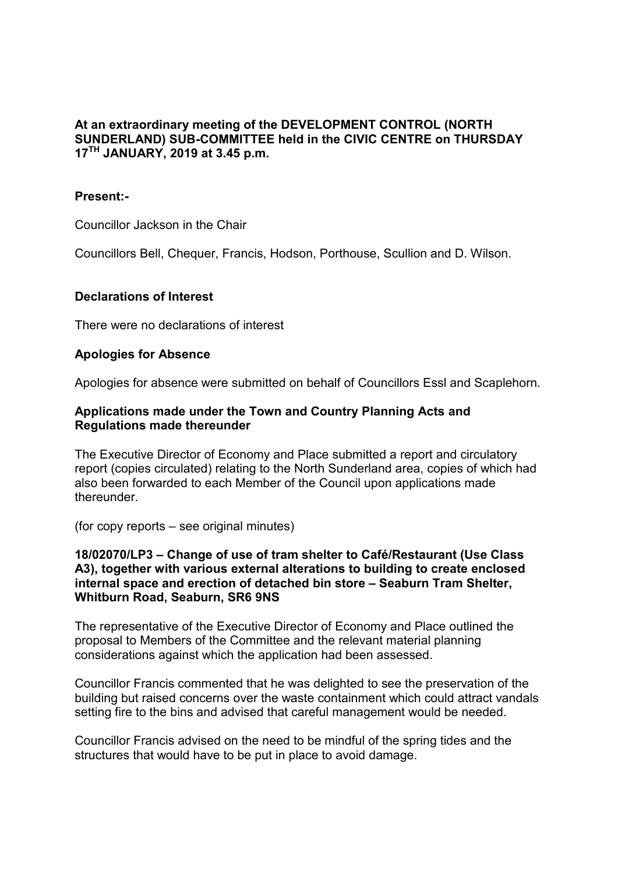# **At an extraordinary meeting of the DEVELOPMENT CONTROL (NORTH SUNDERLAND) SUB-COMMITTEE held in the CIVIC CENTRE on THURSDAY 17TH JANUARY, 2019 at 3.45 p.m.**

### **Present:-**

Councillor Jackson in the Chair

Councillors Bell, Chequer, Francis, Hodson, Porthouse, Scullion and D. Wilson.

#### **Declarations of Interest**

There were no declarations of interest

#### **Apologies for Absence**

Apologies for absence were submitted on behalf of Councillors Essl and Scaplehorn.

### **Applications made under the Town and Country Planning Acts and Regulations made thereunder**

The Executive Director of Economy and Place submitted a report and circulatory report (copies circulated) relating to the North Sunderland area, copies of which had also been forwarded to each Member of the Council upon applications made thereunder.

(for copy reports – see original minutes)

#### **18/02070/LP3 – Change of use of tram shelter to Café/Restaurant (Use Class A3), together with various external alterations to building to create enclosed internal space and erection of detached bin store – Seaburn Tram Shelter, Whitburn Road, Seaburn, SR6 9NS**

The representative of the Executive Director of Economy and Place outlined the proposal to Members of the Committee and the relevant material planning considerations against which the application had been assessed.

Councillor Francis commented that he was delighted to see the preservation of the building but raised concerns over the waste containment which could attract vandals setting fire to the bins and advised that careful management would be needed.

Councillor Francis advised on the need to be mindful of the spring tides and the structures that would have to be put in place to avoid damage.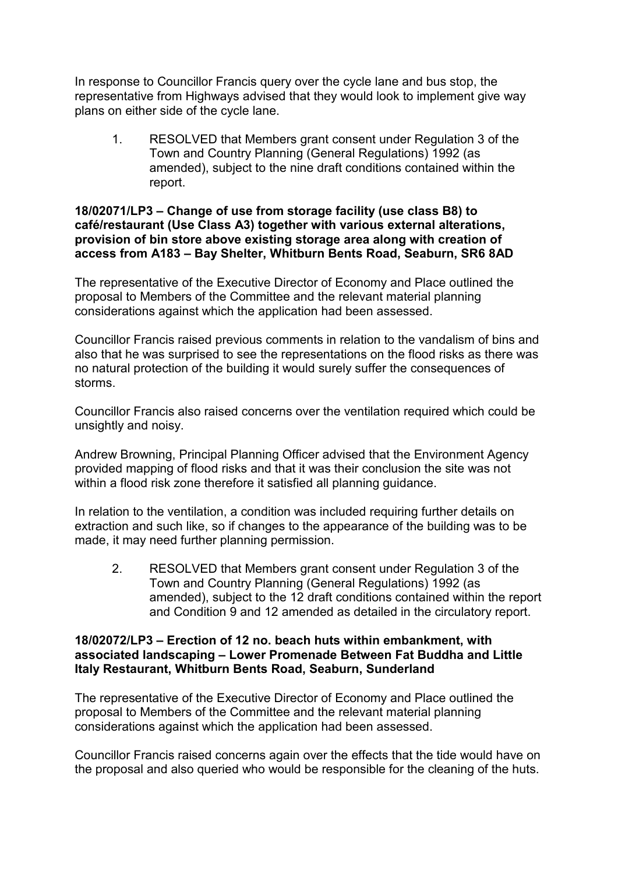In response to Councillor Francis query over the cycle lane and bus stop, the representative from Highways advised that they would look to implement give way plans on either side of the cycle lane.

1. RESOLVED that Members grant consent under Regulation 3 of the Town and Country Planning (General Regulations) 1992 (as amended), subject to the nine draft conditions contained within the report.

## **18/02071/LP3 – Change of use from storage facility (use class B8) to café/restaurant (Use Class A3) together with various external alterations, provision of bin store above existing storage area along with creation of access from A183 – Bay Shelter, Whitburn Bents Road, Seaburn, SR6 8AD**

The representative of the Executive Director of Economy and Place outlined the proposal to Members of the Committee and the relevant material planning considerations against which the application had been assessed.

Councillor Francis raised previous comments in relation to the vandalism of bins and also that he was surprised to see the representations on the flood risks as there was no natural protection of the building it would surely suffer the consequences of storms.

Councillor Francis also raised concerns over the ventilation required which could be unsightly and noisy.

Andrew Browning, Principal Planning Officer advised that the Environment Agency provided mapping of flood risks and that it was their conclusion the site was not within a flood risk zone therefore it satisfied all planning quidance.

In relation to the ventilation, a condition was included requiring further details on extraction and such like, so if changes to the appearance of the building was to be made, it may need further planning permission.

2. RESOLVED that Members grant consent under Regulation 3 of the Town and Country Planning (General Regulations) 1992 (as amended), subject to the 12 draft conditions contained within the report and Condition 9 and 12 amended as detailed in the circulatory report.

## **18/02072/LP3 – Erection of 12 no. beach huts within embankment, with associated landscaping – Lower Promenade Between Fat Buddha and Little Italy Restaurant, Whitburn Bents Road, Seaburn, Sunderland**

The representative of the Executive Director of Economy and Place outlined the proposal to Members of the Committee and the relevant material planning considerations against which the application had been assessed.

Councillor Francis raised concerns again over the effects that the tide would have on the proposal and also queried who would be responsible for the cleaning of the huts.